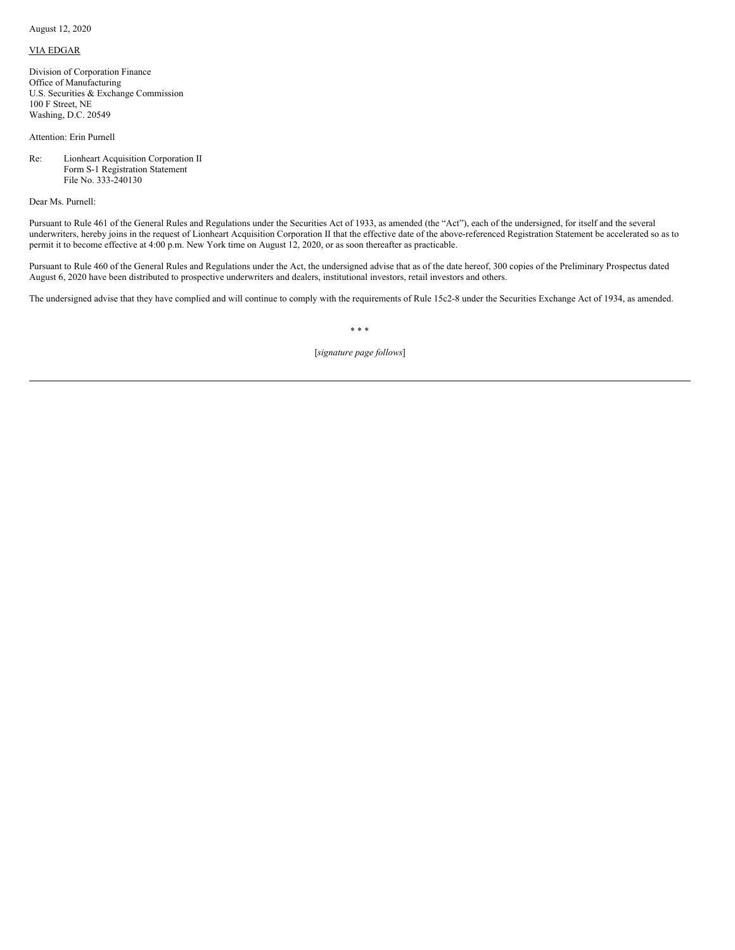August 12, 2020

## VIA EDGAR

Division of Corporation Finance Office of Manufacturing U.S. Securities & Exchange Commission 100 F Street, NE Washing, D.C. 20549

Attention: Erin Purnell

Re: Lionheart Acquisition Corporation II Form S-1 Registration Statement File No. 333-240130

Dear Ms. Purnell:

Pursuant to Rule 461 of the General Rules and Regulations under the Securities Act of 1933, as amended (the "Act"), each of the undersigned, for itself and the several underwriters, hereby joins in the request of Lionheart Acquisition Corporation II that the effective date of the above-referenced Registration Statement be accelerated so as to permit it to become effective at 4:00 p.m. New York time on August 12, 2020, or as soon thereafter as practicable.

Pursuant to Rule 460 of the General Rules and Regulations under the Act, the undersigned advise that as of the date hereof, 300 copies of the Preliminary Prospectus dated August 6, 2020 have been distributed to prospective underwriters and dealers, institutional investors, retail investors and others.

The undersigned advise that they have complied and will continue to comply with the requirements of Rule 15c2-8 under the Securities Exchange Act of 1934, as amended.

## \* \* \*

[*signature page follows*]